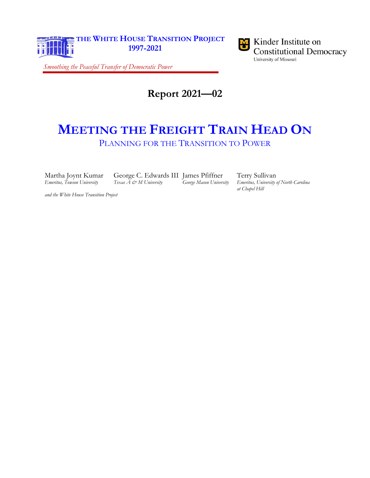<span id="page-0-0"></span>



## **Report 2021—02**

## **MEETING THE FREIGHT TRAIN HEAD ON**

PLANNING FOR THE TRANSITION TO POWER

<span id="page-0-1"></span>Martha Joynt Kumar George C. Edwards III James Pfiffner Terry Sullivan<br>
Emeritus, Towson University Texas A & M University George Mason University Emeritus, University

*Emeritus, Towson University Texas A & M University George Mason University Emeritus, University of North Carolina at Chapel Hill*

*and the White House Transition Project*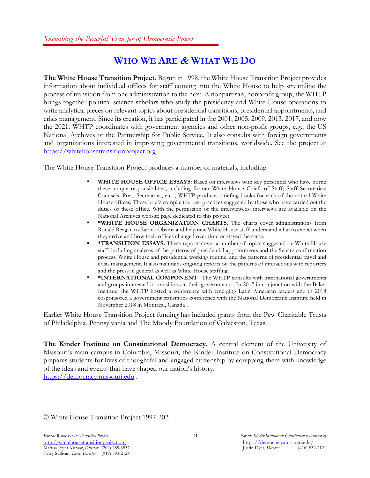## **WHO WE ARE** & **WHAT WE DO**

<span id="page-1-0"></span>**The White House Transition Project.** Begun in 1998, the White House Transition Project provides information about individual offices for staff coming into the White House to help streamline the process of transition from one administration to the next. A nonpartisan, nonprofit group, the WHTP brings together political science scholars who study the presidency and White House operations to write analytical pieces on relevant topics about presidential transitions, presidential appointments, and crisis management. Since its creation, it has participated in the 2001, 2005, 2009, 2013, 2017, and now the 2021. WHTP coordinates with government agencies and other non-profit groups, e.g., the US National Archives or the Partnership for Public Service. It also consults with foreign governments and organizations interested in improving governmental transitions, worldwide. See the project at [https://whitehousetransitionproject.org](https://whitehousetransitionproject.org/)

The White House Transition Project produces a number of materials, including:

- WHITE HOUSE OFFICE ESSAYS: Based on interviews with key personnel who have borne these unique responsibilities, including former White House Chiefs of Staff; Staff Secretaries; Counsels; Press Secretaries, etc. , WHTP produces briefing books for each of the critical White House offices. These briefs compile the best practices suggested by those who have carried out the duties of these office. With the permission of the interviewees, interviews are available on the National Archives website page dedicated to this project:
- **\* \*WHITE HOUSE ORGANIZATION CHARTS.** The charts cover administrations from Ronald Reagan to Barack Obama and help new White House staff understand what to expect when they arrive and how their offices changed over time or stayed the same.
- **\*TRANSITION ESSAYS.** These reports cover a number of topics suggested by White House staff, including analyses of the patterns of presidential appointments and the Senate confirmation process, White House and presidential working routine, and the patterns of presidential travel and crisis management. It also maintains ongoing reports on the patterns of interactions with reporters and the press in general as well as White House staffing.
- **\*** \*INTERNATIONAL COMPONENT. The WHTP consults with international governments and groups interested in transitions in their governments. In 2017 in conjunction with the Baker Institute, the WHTP hosted a conference with emerging Latin American leaders and in 2018 cosponsored a government transitions conference with the National Democratic Institute held in November 2018 in Montreal, Canada .

Earlier White House Transition Project funding has included grants from the Pew Charitable Trusts of Philadelphia, Pennsylvania and The Moody Foundation of Galveston, Texas.

**The Kinder Institute on Constitutional Democracy.** A central element of the University of Missouri's main campus in Columbia, Missouri, the Kinder Institute on Constitutional Democracy prepares students for lives of thoughtful and engaged citizenship by equipping them with knowledge of the ideas and events that have shaped our nation's history. [https://democracy.missouri.edu](https://democracy.missouri.edu/) .

© White House Transition Project 1997-202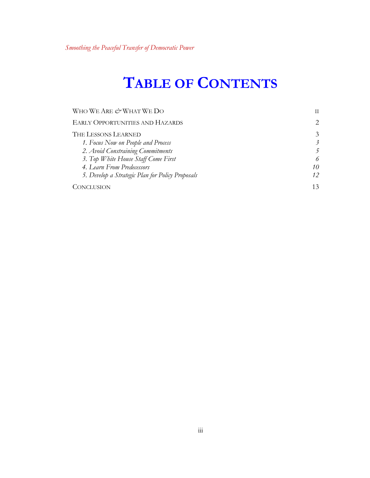# **TABLE OF CONTENTS**

| WHO WE ARE & WHAT WE DO                          | H              |
|--------------------------------------------------|----------------|
| <b>EARLY OPPORTUNITIES AND HAZARDS</b>           | 2              |
| THE LESSONS LEARNED                              | 3              |
| 1. Focus Now on People and Process               | $\mathfrak{Z}$ |
| 2. Avoid Constraining Commitments                | $\sqrt{2}$     |
| 3. Top White House Staff Come First              | 6              |
| 4. Learn From Predecessors                       | 10             |
| 5. Develop a Strategic Plan for Policy Proposals | 12             |
| CONCLUSION                                       | 13             |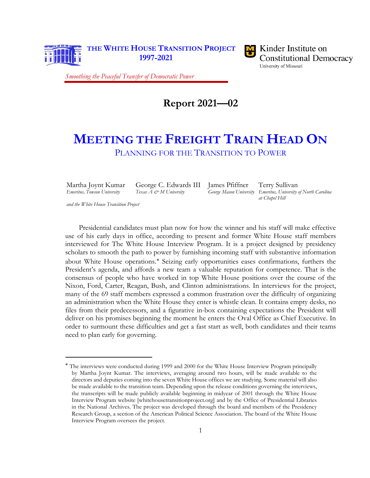



Kinder Institute on **Constitutional Democracy** University of Missouri

*Smoothing the Peaceful Transfer of Democratic Power*

### **[Report 2021—02](#page-0-0)**

## **[MEETING THE FREIGHT TRAIN HEAD ON](#page-0-0)**

[PLANNING FOR THE TRANSITION TO POWER](#page-0-0)

[Martha Joynt Kumar](#page-0-1) [George C. Edwards III](#page-0-1) [James Pfiffner](#page-0-1) [Terry Sullivan](#page-0-1)<br>Emeritus, Towson University Texas A & M University George Mason University Emeritus, University

 $\overline{a}$ 

*[Emeritus, Towson University](#page-0-1) [Texas A & M University](#page-0-1) [George Mason University](#page-0-1) [Emeritus, University of North Carolina](#page-0-1) [at Chapel Hill](#page-0-1)*

*[and the White House Transition Project](#page-0-1)*

Presidential candidates must plan now for how the winner and his staff will make effective use of his early days in office, according to present and former White House staff members interviewed for The White House Interview Program. It is a project designed by presidency scholars to smooth the path to power by furnishing incoming staff with substantive information about White House operations.[∗](#page-4-0) Seizing early opportunities eases confirmations, furthers the President's agenda, and affords a new team a valuable reputation for competence. That is the consensus of people who have worked in top White House positions over the course of the Nixon, Ford, Carter, Reagan, Bush, and Clinton administrations. In interviews for the project, many of the 69 staff members expressed a common frustration over the difficulty of organizing an administration when the White House they enter is whistle clean. It contains empty desks, no files from their predecessors, and a figurative in-box containing expectations the President will deliver on his promises beginning the moment he enters the Oval Office as Chief Executive. In order to surmount these difficulties and get a fast start as well, both candidates and their teams need to plan early for governing.

<span id="page-4-0"></span><sup>∗</sup> The interviews were conducted during 1999 and 2000 for the White House Interview Program principally by Martha Joynt Kumar. The interviews, averaging around two hours, will be made available to the directors and deputies coming into the seven White House offices we are studying. Some material will also be made available to the transition team. Depending upon the release conditions governing the interviews, the transcripts will be made publicly available beginning in midyear of 2001 through the White House Interview Program website [whitehousetransitionproject.org] and by the Office of Presidential Libraries in the National Archives. The project was developed through the board and members of the Presidency Research Group, a section of the American Political Science Association. The board of the White House Interview Program oversees the project.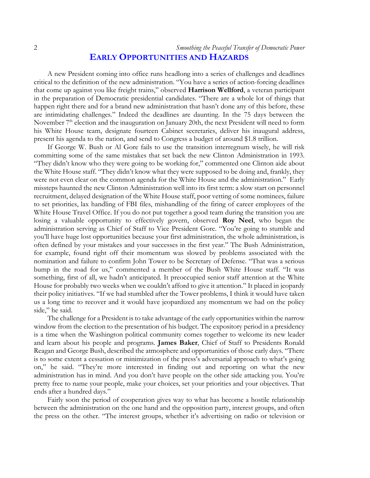### <span id="page-5-0"></span>2 *Smoothing the Peaceful Transfer of Democratic Power* **EARLY OPPORTUNITIES AND HAZARDS**

A new President coming into office runs headlong into a series of challenges and deadlines critical to the definition of the new administration. "You have a series of action-forcing deadlines that come up against you like freight trains," observed **Harrison Wellford**, a veteran participant in the preparation of Democratic presidential candidates. "There are a whole lot of things that happen right there and for a brand new administration that hasn't done any of this before, these are intimidating challenges." Indeed the deadlines are daunting. In the 75 days between the November 7<sup>th</sup> election and the inauguration on January 20th, the next President will need to form his White House team, designate fourteen Cabinet secretaries, deliver his inaugural address, present his agenda to the nation, and send to Congress a budget of around \$1.8 trillion.

If George W. Bush or Al Gore fails to use the transition interregnum wisely, he will risk committing some of the same mistakes that set back the new Clinton Administration in 1993. "They didn't know who they were going to be working for," commented one Clinton aide about the White House staff. "They didn't know what they were supposed to be doing and, frankly, they were not even clear on the common agenda for the White House and the administration." Early missteps haunted the new Clinton Administration well into its first term: a slow start on personnel recruitment, delayed designation of the White House staff, poor vetting of some nominees, failure to set priorities, lax handling of FBI files, mishandling of the firing of career employees of the White House Travel Office. If you do not put together a good team during the transition you are losing a valuable opportunity to effectively govern, observed **Roy Neel**, who began the administration serving as Chief of Staff to Vice President Gore. "You're going to stumble and you'll have huge lost opportunities because your first administration, the whole administration, is often defined by your mistakes and your successes in the first year." The Bush Administration, for example, found right off their momentum was slowed by problems associated with the nomination and failure to confirm John Tower to be Secretary of Defense. "That was a serious bump in the road for us," commented a member of the Bush White House staff. "It was something, first of all, we hadn't anticipated. It preoccupied senior staff attention at the White House for probably two weeks when we couldn't afford to give it attention." It placed in jeopardy their policy initiatives. "If we had stumbled after the Tower problems, I think it would have taken us a long time to recover and it would have jeopardized any momentum we had on the policy side," he said.

The challenge for a President is to take advantage of the early opportunities within the narrow window from the election to the presentation of his budget. The expository period in a presidency is a time when the Washington political community comes together to welcome its new leader and learn about his people and programs. **James Baker**, Chief of Staff to Presidents Ronald Reagan and George Bush, described the atmosphere and opportunities of those early days. "There is to some extent a cessation or minimization of the press's adversarial approach to what's going on," he said. "They're more interested in finding out and reporting on what the new administration has in mind. And you don't have people on the other side attacking you. You're pretty free to name your people, make your choices, set your priorities and your objectives. That ends after a hundred days."

Fairly soon the period of cooperation gives way to what has become a hostile relationship between the administration on the one hand and the opposition party, interest groups, and often the press on the other. "The interest groups, whether it's advertising on radio or television or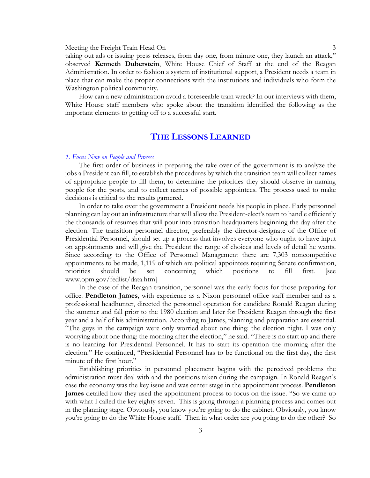taking out ads or issuing press releases, from day one, from minute one, they launch an attack," observed **Kenneth Duberstein**, White House Chief of Staff at the end of the Reagan Administration. In order to fashion a system of institutional support, a President needs a team in place that can make the proper connections with the institutions and individuals who form the Washington political community.

<span id="page-6-0"></span>How can a new administration avoid a foreseeable train wreck? In our interviews with them, White House staff members who spoke about the transition identified the following as the important elements to getting off to a successful start.

#### **THE LESSONS LEARNED**

#### <span id="page-6-1"></span>*1. Focus Now on People and Process*

The first order of business in preparing the take over of the government is to analyze the jobs a President can fill, to establish the procedures by which the transition team will collect names of appropriate people to fill them, to determine the priorities they should observe in naming people for the posts, and to collect names of possible appointees. The process used to make decisions is critical to the results garnered.

In order to take over the government a President needs his people in place. Early personnel planning can lay out an infrastructure that will allow the President-elect's team to handle efficiently the thousands of resumes that will pour into transition headquarters beginning the day after the election. The transition personnel director, preferably the director-designate of the Office of Presidential Personnel, should set up a process that involves everyone who ought to have input on appointments and will give the President the range of choices and levels of detail he wants. Since according to the Office of Personnel Management there are 7,303 noncompetitive appointments to be made, 1,119 of which are political appointees requiring Senate confirmation, priorities should be set concerning which positions to fill first. [see www.opm.gov/fedlist/data.htm]

In the case of the Reagan transition, personnel was the early focus for those preparing for office. **Pendleton James**, with experience as a Nixon personnel office staff member and as a professional headhunter, directed the personnel operation for candidate Ronald Reagan during the summer and fall prior to the 1980 election and later for President Reagan through the first year and a half of his administration. According to James, planning and preparation are essential. "The guys in the campaign were only worried about one thing: the election night. I was only worrying about one thing: the morning after the election," he said. "There is no start up and there is no learning for Presidential Personnel. It has to start its operation the morning after the election." He continued, "Presidential Personnel has to be functional on the first day, the first minute of the first hour."

Establishing priorities in personnel placement begins with the perceived problems the administration must deal with and the positions taken during the campaign. In Ronald Reagan's case the economy was the key issue and was center stage in the appointment process. **Pendleton James** detailed how they used the appointment process to focus on the issue. "So we came up with what I called the key eighty-seven. This is going through a planning process and comes out in the planning stage. Obviously, you know you're going to do the cabinet. Obviously, you know you're going to do the White House staff. Then in what order are you going to do the other? So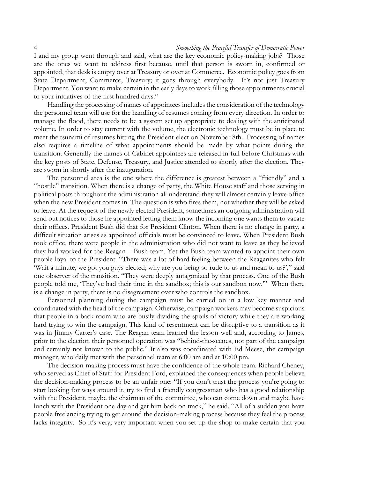I and my group went through and said, what are the key economic policy-making jobs? Those are the ones we want to address first because, until that person is sworn in, confirmed or appointed, that desk is empty over at Treasury or over at Commerce. Economic policy goes from State Department, Commerce, Treasury; it goes through everybody. It's not just Treasury Department. You want to make certain in the early days to work filling those appointments crucial to your initiatives of the first hundred days."

Handling the processing of names of appointees includes the consideration of the technology the personnel team will use for the handling of resumes coming from every direction. In order to manage the flood, there needs to be a system set up appropriate to dealing with the anticipated volume. In order to stay current with the volume, the electronic technology must be in place to meet the tsunami of resumes hitting the President-elect on November 8th. Processing of names also requires a timeline of what appointments should be made by what points during the transition. Generally the names of Cabinet appointees are released in full before Christmas with the key posts of State, Defense, Treasury, and Justice attended to shortly after the election. They are sworn in shortly after the inauguration.

The personnel area is the one where the difference is greatest between a "friendly" and a "hostile" transition. When there is a change of party, the White House staff and those serving in political posts throughout the administration all understand they will almost certainly leave office when the new President comes in. The question is who fires them, not whether they will be asked to leave. At the request of the newly elected President, sometimes an outgoing administration will send out notices to those he appointed letting them know the incoming one wants them to vacate their offices. President Bush did that for President Clinton. When there is no change in party, a difficult situation arises as appointed officials must be convinced to leave. When President Bush took office, there were people in the administration who did not want to leave as they believed they had worked for the Reagan – Bush team. Yet the Bush team wanted to appoint their own people loyal to the President. "There was a lot of hard feeling between the Reaganites who felt 'Wait a minute, we got you guys elected; why are you being so rude to us and mean to us?'," said one observer of the transition. "They were deeply antagonized by that process. One of the Bush people told me, 'They've had their time in the sandbox; this is our sandbox now.'" When there is a change in party, there is no disagreement over who controls the sandbox.

Personnel planning during the campaign must be carried on in a low key manner and coordinated with the head of the campaign. Otherwise, campaign workers may become suspicious that people in a back room who are busily dividing the spoils of victory while they are working hard trying to win the campaign. This kind of resentment can be disruptive to a transition as it was in Jimmy Carter's case. The Reagan team learned the lesson well and, according to James, prior to the election their personnel operation was "behind-the-scenes, not part of the campaign and certainly not known to the public." It also was coordinated with Ed Meese, the campaign manager, who daily met with the personnel team at 6:00 am and at 10:00 pm.

The decision-making process must have the confidence of the whole team. Richard Cheney, who served as Chief of Staff for President Ford, explained the consequences when people believe the decision-making process to be an unfair one: "If you don't trust the process you're going to start looking for ways around it, try to find a friendly congressman who has a good relationship with the President, maybe the chairman of the committee, who can come down and maybe have lunch with the President one day and get him back on track," he said. "All of a sudden you have people freelancing trying to get around the decision-making process because they feel the process lacks integrity. So it's very, very important when you set up the shop to make certain that you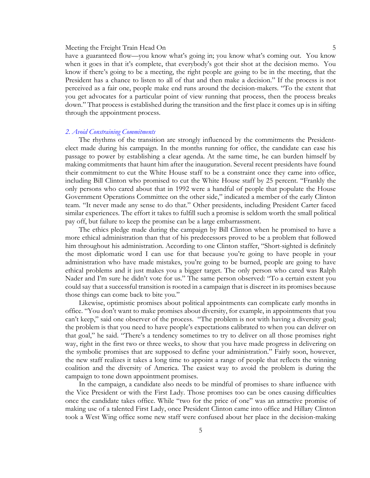have a guaranteed flow—you know what's going in; you know what's coming out. You know when it goes in that it's complete, that everybody's got their shot at the decision memo. You know if there's going to be a meeting, the right people are going to be in the meeting, that the President has a chance to listen to all of that and then make a decision." If the process is not perceived as a fair one, people make end runs around the decision-makers. "To the extent that you get advocates for a particular point of view running that process, then the process breaks down." That process is established during the transition and the first place it comes up is in sifting through the appointment process.

#### <span id="page-8-0"></span>*2. Avoid Constraining Commitments*

The rhythms of the transition are strongly influenced by the commitments the Presidentelect made during his campaign. In the months running for office, the candidate can ease his passage to power by establishing a clear agenda. At the same time, he can burden himself by making commitments that haunt him after the inauguration. Several recent presidents have found their commitment to cut the White House staff to be a constraint once they came into office, including Bill Clinton who promised to cut the White House staff by 25 percent. "Frankly the only persons who cared about that in 1992 were a handful of people that populate the House Government Operations Committee on the other side," indicated a member of the early Clinton team. "It never made any sense to do that." Other presidents, including President Carter faced similar experiences. The effort it takes to fulfill such a promise is seldom worth the small political pay off, but failure to keep the promise can be a large embarrassment.

The ethics pledge made during the campaign by Bill Clinton when he promised to have a more ethical administration than that of his predecessors proved to be a problem that followed him throughout his administration. According to one Clinton staffer, "Short-sighted is definitely the most diplomatic word I can use for that because you're going to have people in your administration who have made mistakes, you're going to be burned, people are going to have ethical problems and it just makes you a bigger target. The only person who cared was Ralph Nader and I'm sure he didn't vote for us." The same person observed: "To a certain extent you could say that a successful transition is rooted in a campaign that is discreet in its promises because those things can come back to bite you."

Likewise, optimistic promises about political appointments can complicate early months in office. "You don't want to make promises about diversity, for example, in appointments that you can't keep," said one observer of the process. "The problem is not with having a diversity goal; the problem is that you need to have people's expectations calibrated to when you can deliver on that goal," he said. "There's a tendency sometimes to try to deliver on all those promises right way, right in the first two or three weeks, to show that you have made progress in delivering on the symbolic promises that are supposed to define your administration." Fairly soon, however, the new staff realizes it takes a long time to appoint a range of people that reflects the winning coalition and the diversity of America. The easiest way to avoid the problem is during the campaign to tone down appointment promises.

In the campaign, a candidate also needs to be mindful of promises to share influence with the Vice President or with the First Lady. Those promises too can be ones causing difficulties once the candidate takes office. While "two for the price of one" was an attractive promise of making use of a talented First Lady, once President Clinton came into office and Hillary Clinton took a West Wing office some new staff were confused about her place in the decision-making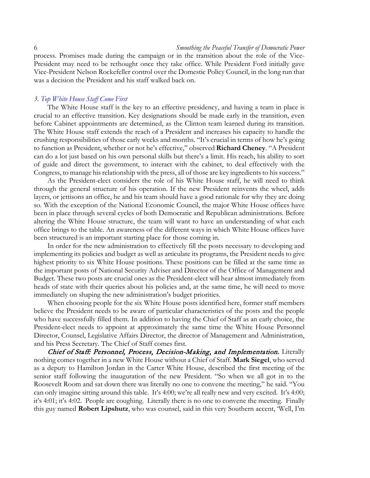process. Promises made during the campaign or in the transition about the role of the Vice-President may need to be rethought once they take office. While President Ford initially gave Vice-President Nelson Rockefeller control over the Domestic Policy Council, in the long run that was a decision the President and his staff walked back on.

#### <span id="page-9-0"></span>*3. Top White House Staff Come First*

The White House staff is the key to an effective presidency, and having a team in place is crucial to an effective transition. Key designations should be made early in the transition, even before Cabinet appointments are determined, as the Clinton team learned during its transition. The White House staff extends the reach of a President and increases his capacity to handle the crushing responsibilities of those early weeks and months. "It's crucial in terms of how he's going to function as President, whether or not he's effective," observed **Richard Cheney**. "A President can do a lot just based on his own personal skills but there's a limit. His reach, his ability to sort of guide and direct the government, to interact with the cabinet, to deal effectively with the Congress, to manage his relationship with the press, all of those are key ingredients to his success."

As the President-elect considers the role of his White House staff, he will need to think through the general structure of his operation. If the new President reinvents the wheel, adds layers, or jettisons an office, he and his team should have a good rationale for why they are doing so. With the exception of the National Economic Council, the major White House offices have been in place through several cycles of both Democratic and Republican administrations. Before altering the White House structure, the team will want to have an understanding of what each office brings to the table. An awareness of the different ways in which White House offices have been structured is an important starting place for those coming in.

In order for the new administration to effectively fill the posts necessary to developing and implementing its policies and budget as well as articulate its programs, the President needs to give highest priority to six White House positions. These positions can be filled at the same time as the important posts of National Security Adviser and Director of the Office of Management and Budget. These two posts are crucial ones as the President-elect will hear almost immediately from heads of state with their queries about his policies and, at the same time, he will need to move immediately on shaping the new administration's budget priorities.

When choosing people for the six White House posts identified here, former staff members believe the President needs to be aware of particular characteristics of the posts and the people who have successfully filled them. In addition to having the Chief of Staff as an early choice, the President-elect needs to appoint at approximately the same time the White House Personnel Director, Counsel, Legislative Affairs Director, the director of Management and Administration, and his Press Secretary. The Chief of Staff comes first.

Chief of Staff: Personnel, Process, Decision-Making, and Implementation. Literally nothing comes together in a new White House without a Chief of Staff. **Mark Siegel**, who served as a deputy to Hamilton Jordan in the Carter White House, described the first meeting of the senior staff following the inauguration of the new President. "So when we all got in to the Roosevelt Room and sat down there was literally no one to convene the meeting," he said. "You can only imagine sitting around this table. It's 4:00; we're all really new and very excited. It's 4:00; it's 4:01; it's 4:02. People are coughing. Literally there is no one to convene the meeting. Finally this guy named **Robert Lipshutz**, who was counsel, said in this very Southern accent, 'Well, I'm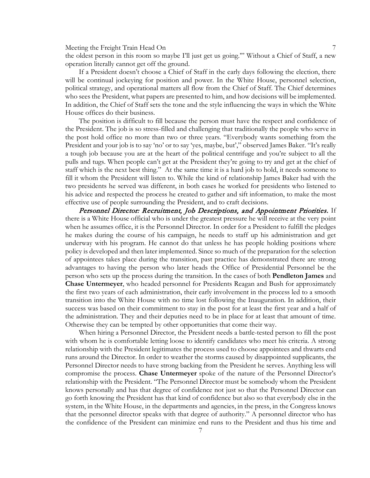the oldest person in this room so maybe I'll just get us going.'" Without a Chief of Staff, a new operation literally cannot get off the ground.

If a President doesn't choose a Chief of Staff in the early days following the election, there will be continual jockeying for position and power. In the White House, personnel selection, political strategy, and operational matters all flow from the Chief of Staff. The Chief determines who sees the President, what papers are presented to him, and how decisions will be implemented. In addition, the Chief of Staff sets the tone and the style influencing the ways in which the White House offices do their business.

The position is difficult to fill because the person must have the respect and confidence of the President. The job is so stress-filled and challenging that traditionally the people who serve in the post hold office no more than two or three years. "Everybody wants something from the President and your job is to say 'no' or to say 'yes, maybe, but'," observed James Baker. "It's really a tough job because you are at the heart of the political centrifuge and you're subject to all the pulls and tugs. When people can't get at the President they're going to try and get at the chief of staff which is the next best thing." At the same time it is a hard job to hold, it needs someone to fill it whom the President will listen to. While the kind of relationship James Baker had with the two presidents he served was different, in both cases he worked for presidents who listened to his advice and respected the process he created to gather and sift information, to make the most effective use of people surrounding the President, and to craft decisions.

Personnel Director: Recruitment, Job Descriptions, and Appointment Priorities. If there is a White House official who is under the greatest pressure he will receive at the very point when he assumes office, it is the Personnel Director. In order for a President to fulfill the pledges he makes during the course of his campaign, he needs to staff up his administration and get underway with his program. He cannot do that unless he has people holding positions where policy is developed and then later implemented. Since so much of the preparation for the selection of appointees takes place during the transition, past practice has demonstrated there are strong advantages to having the person who later heads the Office of Presidential Personnel be the person who sets up the process during the transition. In the cases of both **Pendleton James** and **Chase Untermeyer**, who headed personnel for Presidents Reagan and Bush for approximately the first two years of each administration, their early involvement in the process led to a smooth transition into the White House with no time lost following the Inauguration. In addition, their success was based on their commitment to stay in the post for at least the first year and a half of the administration. They and their deputies need to be in place for at least that amount of time. Otherwise they can be tempted by other opportunities that come their way.

When hiring a Personnel Director, the President needs a battle-tested person to fill the post with whom he is comfortable letting loose to identify candidates who meet his criteria. A strong relationship with the President legitimates the process used to choose appointees and thwarts end runs around the Director. In order to weather the storms caused by disappointed supplicants, the Personnel Director needs to have strong backing from the President he serves. Anything less will compromise the process. **Chase Untermeyer** spoke of the nature of the Personnel Director's relationship with the President. "The Personnel Director must be somebody whom the President knows personally and has that degree of confidence not just so that the Personnel Director can go forth knowing the President has that kind of confidence but also so that everybody else in the system, in the White House, in the departments and agencies, in the press, in the Congress knows that the personnel director speaks with that degree of authority." A personnel director who has the confidence of the President can minimize end runs to the President and thus his time and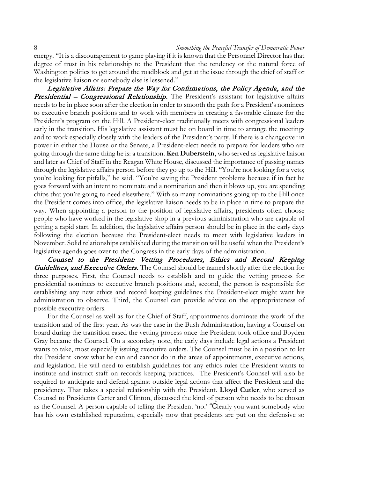energy. "It is a discouragement to game playing if it is known that the Personnel Director has that degree of trust in his relationship to the President that the tendency or the natural force of Washington politics to get around the roadblock and get at the issue through the chief of staff or the legislative liaison or somebody else is lessened."

Legislative Affairs: Prepare the Way for Confirmations, the Policy Agenda, and the **Presidential – Congressional Relationship.** The President's assistant for legislative affairs needs to be in place soon after the election in order to smooth the path for a President's nominees to executive branch positions and to work with members in creating a favorable climate for the President's program on the Hill. A President-elect traditionally meets with congressional leaders early in the transition. His legislative assistant must be on board in time to arrange the meetings and to work especially closely with the leaders of the President's party. If there is a changeover in power in either the House or the Senate, a President-elect needs to prepare for leaders who are going through the same thing he is: a transition. **Ken Duberstein**, who served as legislative liaison and later as Chief of Staff in the Reagan White House, discussed the importance of passing names through the legislative affairs person before they go up to the Hill. "You're not looking for a veto; you're looking for pitfalls," he said. "You're saving the President problems because if in fact he goes forward with an intent to nominate and a nomination and then it blows up, you are spending chips that you're going to need elsewhere." With so many nominations going up to the Hill once the President comes into office, the legislative liaison needs to be in place in time to prepare the way. When appointing a person to the position of legislative affairs, presidents often choose people who have worked in the legislative shop in a previous administration who are capable of getting a rapid start. In addition, the legislative affairs person should be in place in the early days following the election because the President-elect needs to meet with legislative leaders in November. Solid relationships established during the transition will be useful when the President's legislative agenda goes over to the Congress in the early days of the administration.

Counsel to the President: Vetting Procedures, Ethics and Record Keeping Guidelines, and Executive Orders. The Counsel should be named shortly after the election for three purposes. First, the Counsel needs to establish and to guide the vetting process for presidential nominees to executive branch positions and, second, the person is responsible for establishing any new ethics and record keeping guidelines the President-elect might want his administration to observe. Third, the Counsel can provide advice on the appropriateness of possible executive orders.

For the Counsel as well as for the Chief of Staff, appointments dominate the work of the transition and of the first year. As was the case in the Bush Administration, having a Counsel on board during the transition eased the vetting process once the President took office and Boyden Gray became the Counsel. On a secondary note, the early days include legal actions a President wants to take, most especially issuing executive orders. The Counsel must be in a position to let the President know what he can and cannot do in the areas of appointments, executive actions, and legislation. He will need to establish guidelines for any ethics rules the President wants to institute and instruct staff on records keeping practices. The President's Counsel will also be required to anticipate and defend against outside legal actions that affect the President and the presidency. That takes a special relationship with the President. **Lloyd Cutler**, who served as Counsel to Presidents Carter and Clinton, discussed the kind of person who needs to be chosen as the Counsel. A person capable of telling the President 'no.' "Clearly you want somebody who has his own established reputation, especially now that presidents are put on the defensive so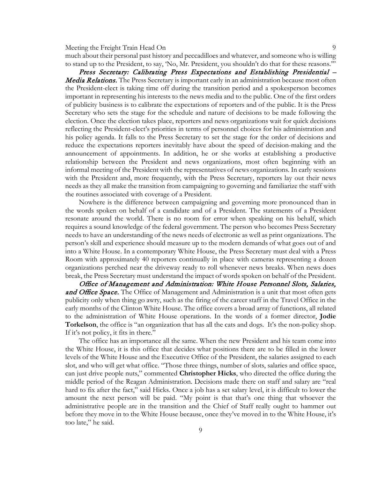much about their personal past history and peccadilloes and whatever, and someone who is willing to stand up to the President, to say, 'No, Mr. President, you shouldn't do that for these reasons.'"

Press Secretary: Calibrating Press Expectations and Establishing Presidential – *Media Relations*. The Press Secretary is important early in an administration because most often the President-elect is taking time off during the transition period and a spokesperson becomes important in representing his interests to the news media and to the public. One of the first orders of publicity business is to calibrate the expectations of reporters and of the public. It is the Press Secretary who sets the stage for the schedule and nature of decisions to be made following the election. Once the election takes place, reporters and news organizations wait for quick decisions reflecting the President-elect's priorities in terms of personnel choices for his administration and his policy agenda. It falls to the Press Secretary to set the stage for the order of decisions and reduce the expectations reporters inevitably have about the speed of decision-making and the announcement of appointments. In addition, he or she works at establishing a productive relationship between the President and news organizations, most often beginning with an informal meeting of the President with the representatives of news organizations. In early sessions with the President and, more frequently, with the Press Secretary, reporters lay out their news needs as they all make the transition from campaigning to governing and familiarize the staff with the routines associated with coverage of a President.

Nowhere is the difference between campaigning and governing more pronounced than in the words spoken on behalf of a candidate and of a President. The statements of a President resonate around the world. There is no room for error when speaking on his behalf, which requires a sound knowledge of the federal government. The person who becomes Press Secretary needs to have an understanding of the news needs of electronic as well as print organizations. The person's skill and experience should measure up to the modern demands of what goes out of and into a White House. In a contemporary White House, the Press Secretary must deal with a Press Room with approximately 40 reporters continually in place with cameras representing a dozen organizations perched near the driveway ready to roll whenever news breaks. When news does break, the Press Secretary must understand the impact of words spoken on behalf of the President.

Office of Management and Administration: White House Personnel Slots, Salaries, and Office Space. The Office of Management and Administration is a unit that most often gets publicity only when thing go awry, such as the firing of the career staff in the Travel Office in the early months of the Clinton White House. The office covers a broad array of functions, all related to the administration of White House operations. In the words of a former director, **Jodie Torkelson**, the office is "an organization that has all the cats and dogs. It's the non-policy shop. If it's not policy, it fits in there."

The office has an importance all the same. When the new President and his team come into the White House, it is this office that decides what positions there are to be filled in the lower levels of the White House and the Executive Office of the President, the salaries assigned to each slot, and who will get what office. "Those three things, number of slots, salaries and office space, can just drive people nuts," commented **Christopher Hicks**, who directed the office during the middle period of the Reagan Administration. Decisions made there on staff and salary are "real hard to fix after the fact," said Hicks. Once a job has a set salary level, it is difficult to lower the amount the next person will be paid. "My point is that that's one thing that whoever the administrative people are in the transition and the Chief of Staff really ought to hammer out before they move in to the White House because, once they've moved in to the White House, it's too late," he said.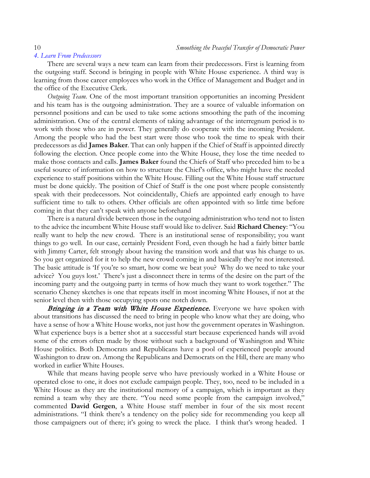#### <span id="page-13-0"></span>*4. Learn From Predecessors*

There are several ways a new team can learn from their predecessors. First is learning from the outgoing staff. Second is bringing in people with White House experience. A third way is learning from those career employees who work in the Office of Management and Budget and in the office of the Executive Clerk.

*Outgoing Team.* One of the most important transition opportunities an incoming President and his team has is the outgoing administration. They are a source of valuable information on personnel positions and can be used to take some actions smoothing the path of the incoming administration. One of the central elements of taking advantage of the interregnum period is to work with those who are in power. They generally do cooperate with the incoming President. Among the people who had the best start were those who took the time to speak with their predecessors as did **James Baker**. That can only happen if the Chief of Staff is appointed directly following the election. Once people come into the White House, they lose the time needed to make those contacts and calls. **James Baker** found the Chiefs of Staff who preceded him to be a useful source of information on how to structure the Chief's office, who might have the needed experience to staff positions within the White House. Filling out the White House staff structure must be done quickly. The position of Chief of Staff is the one post where people consistently speak with their predecessors. Not coincidentally, Chiefs are appointed early enough to have sufficient time to talk to others. Other officials are often appointed with so little time before coming in that they can't speak with anyone beforehand

There is a natural divide between those in the outgoing administration who tend not to listen to the advice the incumbent White House staff would like to deliver. Said **Richard Cheney**: "You really want to help the new crowd. There is an institutional sense of responsibility; you want things to go well. In our case, certainly President Ford, even though he had a fairly bitter battle with Jimmy Carter, felt strongly about having the transition work and that was his charge to us. So you get organized for it to help the new crowd coming in and basically they're not interested. The basic attitude is 'If you're so smart, how come we beat you? Why do we need to take your advice? You guys lost.' There's just a disconnect there in terms of the desire on the part of the incoming party and the outgoing party in terms of how much they want to work together." The scenario Cheney sketches is one that repeats itself in most incoming White Houses, if not at the senior level then with those occupying spots one notch down.

Bringing in a Team with White House Experience. Everyone we have spoken with about transitions has discussed the need to bring in people who know what they are doing, who have a sense of how a White House works, not just how the government operates in Washington. What experience buys is a better shot at a successful start because experienced hands will avoid some of the errors often made by those without such a background of Washington and White House politics. Both Democrats and Republicans have a pool of experienced people around Washington to draw on. Among the Republicans and Democrats on the Hill, there are many who worked in earlier White Houses.

While that means having people serve who have previously worked in a White House or operated close to one, it does not exclude campaign people. They, too, need to be included in a White House as they are the institutional memory of a campaign, which is important as they remind a team why they are there. "You need some people from the campaign involved," commented **David Gergen**, a White House staff member in four of the six most recent administrations. "I think there's a tendency on the policy side for recommending you keep all those campaigners out of there; it's going to wreck the place. I think that's wrong headed. I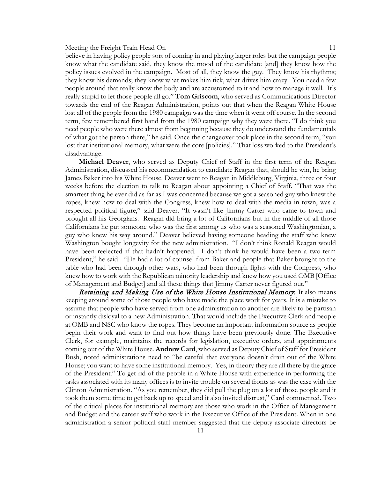believe in having policy people sort of coming in and playing larger roles but the campaign people know what the candidate said, they know the mood of the candidate [and] they know how the policy issues evolved in the campaign. Most of all, they know the guy. They know his rhythms; they know his demands; they know what makes him tick, what drives him crazy. You need a few people around that really know the body and are accustomed to it and how to manage it well. It's really stupid to let those people all go." **Tom Griscom**, who served as Communications Director towards the end of the Reagan Administration, points out that when the Reagan White House lost all of the people from the 1980 campaign was the time when it went off course. In the second term, few remembered first hand from the 1980 campaign why they were there. "I do think you need people who were there almost from beginning because they do understand the fundamentals of what got the person there," he said. Once the changeover took place in the second term, "you lost that institutional memory, what were the core [policies]." That loss worked to the President's disadvantage.

**Michael Deaver**, who served as Deputy Chief of Staff in the first term of the Reagan Administration, discussed his recommendation to candidate Reagan that, should he win, he bring James Baker into his White House. Deaver went to Reagan in Middleburg, Virginia, three or four weeks before the election to talk to Reagan about appointing a Chief of Staff. "That was the smartest thing he ever did as far as I was concerned because we got a seasoned guy who knew the ropes, knew how to deal with the Congress, knew how to deal with the media in town, was a respected political figure," said Deaver. "It wasn't like Jimmy Carter who came to town and brought all his Georgians. Reagan did bring a lot of Californians but in the middle of all those Californians he put someone who was the first among us who was a seasoned Washingtonian, a guy who knew his way around." Deaver believed having someone heading the staff who knew Washington bought longevity for the new administration. "I don't think Ronald Reagan would have been reelected if that hadn't happened. I don't think he would have been a two-term President," he said. "He had a lot of counsel from Baker and people that Baker brought to the table who had been through other wars, who had been through fights with the Congress, who knew how to work with the Republican minority leadership and knew how you used OMB [Office of Management and Budget] and all these things that Jimmy Carter never figured out."

**Retaining and Making Use of the White House Institutional Memory.** It also means keeping around some of those people who have made the place work for years. It is a mistake to assume that people who have served from one administration to another are likely to be partisan or instantly disloyal to a new Administration. That would include the Executive Clerk and people at OMB and NSC who know the ropes. They become an important information source as people begin their work and want to find out how things have been previously done. The Executive Clerk, for example, maintains the records for legislation, executive orders, and appointments coming out of the White House. **Andrew Card**, who served as Deputy Chief of Staff for President Bush, noted administrations need to "be careful that everyone doesn't drain out of the White House; you want to have some institutional memory. Yes, in theory they are all there by the grace of the President." To get rid of the people in a White House with experience in performing the tasks associated with its many offices is to invite trouble on several fronts as was the case with the Clinton Administration. "As you remember, they did pull the plug on a lot of those people and it took them some time to get back up to speed and it also invited distrust," Card commented. Two of the critical places for institutional memory are those who work in the Office of Management and Budget and the career staff who work in the Executive Office of the President. When in one administration a senior political staff member suggested that the deputy associate directors be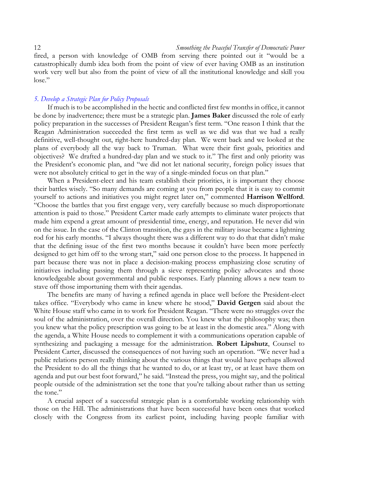fired, a person with knowledge of OMB from serving there pointed out it "would be a catastrophically dumb idea both from the point of view of ever having OMB as an institution work very well but also from the point of view of all the institutional knowledge and skill you lose."

#### <span id="page-15-0"></span>*5. Develop a Strategic Plan for Policy Proposals*

If much is to be accomplished in the hectic and conflicted first few months in office, it cannot be done by inadvertence; there must be a strategic plan. **James Baker** discussed the role of early policy preparation in the successes of President Reagan's first term. "One reason I think that the Reagan Administration succeeded the first term as well as we did was that we had a really definitive, well-thought out, right-here hundred-day plan. We went back and we looked at the plans of everybody all the way back to Truman. What were their first goals, priorities and objectives? We drafted a hundred-day plan and we stuck to it." The first and only priority was the President's economic plan, and "we did not let national security, foreign policy issues that were not absolutely critical to get in the way of a single-minded focus on that plan."

When a President-elect and his team establish their priorities, it is important they choose their battles wisely. "So many demands are coming at you from people that it is easy to commit yourself to actions and initiatives you might regret later on," commented **Harrison Wellford**. "Choose the battles that you first engage very, very carefully because so much disproportionate attention is paid to those." President Carter made early attempts to eliminate water projects that made him expend a great amount of presidential time, energy, and reputation. He never did win on the issue. In the case of the Clinton transition, the gays in the military issue became a lightning rod for his early months. "I always thought there was a different way to do that that didn't make that the defining issue of the first two months because it couldn't have been more perfectly designed to get him off to the wrong start," said one person close to the process. It happened in part because there was not in place a decision-making process emphasizing close scrutiny of initiatives including passing them through a sieve representing policy advocates and those knowledgeable about governmental and public responses. Early planning allows a new team to stave off those importuning them with their agendas.

The benefits are many of having a refined agenda in place well before the President-elect takes office. "Everybody who came in knew where he stood," **David Gergen** said about the White House staff who came in to work for President Reagan. "There were no struggles over the soul of the administration, over the overall direction. You knew what the philosophy was; then you knew what the policy prescription was going to be at least in the domestic area." Along with the agenda, a White House needs to complement it with a communications operation capable of synthesizing and packaging a message for the administration. **Robert Lipshutz**, Counsel to President Carter, discussed the consequences of not having such an operation. "We never had a public relations person really thinking about the various things that would have perhaps allowed the President to do all the things that he wanted to do, or at least try, or at least have them on agenda and put our best foot forward," he said. "Instead the press, you might say, and the political people outside of the administration set the tone that you're talking about rather than us setting the tone."

A crucial aspect of a successful strategic plan is a comfortable working relationship with those on the Hill. The administrations that have been successful have been ones that worked closely with the Congress from its earliest point, including having people familiar with